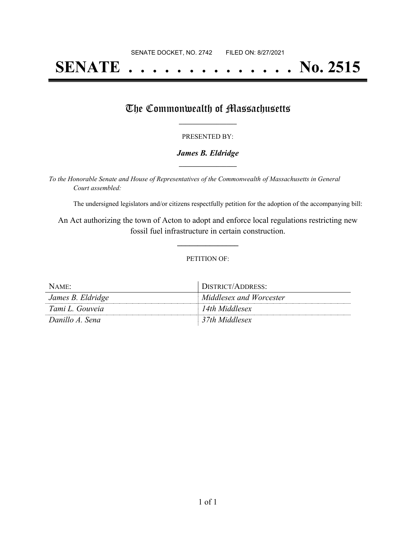# **SENATE . . . . . . . . . . . . . . No. 2515**

### The Commonwealth of Massachusetts

#### PRESENTED BY:

#### *James B. Eldridge* **\_\_\_\_\_\_\_\_\_\_\_\_\_\_\_\_\_**

*To the Honorable Senate and House of Representatives of the Commonwealth of Massachusetts in General Court assembled:*

The undersigned legislators and/or citizens respectfully petition for the adoption of the accompanying bill:

An Act authorizing the town of Acton to adopt and enforce local regulations restricting new fossil fuel infrastructure in certain construction.

**\_\_\_\_\_\_\_\_\_\_\_\_\_\_\_**

#### PETITION OF:

| NAME:             | DISTRICT/ADDRESS:       |
|-------------------|-------------------------|
| James B. Eldridge | Middlesex and Worcester |
| Tami L. Gouveia   | 14th Middlesex          |
| Danillo A. Sena   | 37th Middlesex          |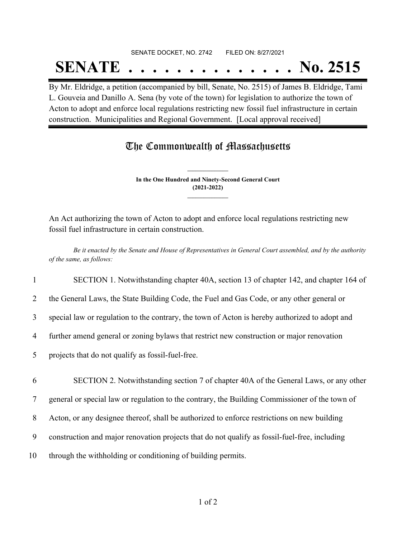## SENATE DOCKET, NO. 2742 FILED ON: 8/27/2021 **SENATE . . . . . . . . . . . . . . No. 2515**

By Mr. Eldridge, a petition (accompanied by bill, Senate, No. 2515) of James B. Eldridge, Tami L. Gouveia and Danillo A. Sena (by vote of the town) for legislation to authorize the town of Acton to adopt and enforce local regulations restricting new fossil fuel infrastructure in certain construction. Municipalities and Regional Government. [Local approval received]

## The Commonwealth of Massachusetts

**In the One Hundred and Ninety-Second General Court (2021-2022) \_\_\_\_\_\_\_\_\_\_\_\_\_\_\_**

**\_\_\_\_\_\_\_\_\_\_\_\_\_\_\_**

An Act authorizing the town of Acton to adopt and enforce local regulations restricting new fossil fuel infrastructure in certain construction.

Be it enacted by the Senate and House of Representatives in General Court assembled, and by the authority *of the same, as follows:*

1 SECTION 1. Notwithstanding chapter 40A, section 13 of chapter 142, and chapter 164 of

2 the General Laws, the State Building Code, the Fuel and Gas Code, or any other general or

3 special law or regulation to the contrary, the town of Acton is hereby authorized to adopt and

4 further amend general or zoning bylaws that restrict new construction or major renovation

5 projects that do not qualify as fossil-fuel-free.

6 SECTION 2. Notwithstanding section 7 of chapter 40A of the General Laws, or any other

7 general or special law or regulation to the contrary, the Building Commissioner of the town of

8 Acton, or any designee thereof, shall be authorized to enforce restrictions on new building

9 construction and major renovation projects that do not qualify as fossil-fuel-free, including

10 through the withholding or conditioning of building permits.